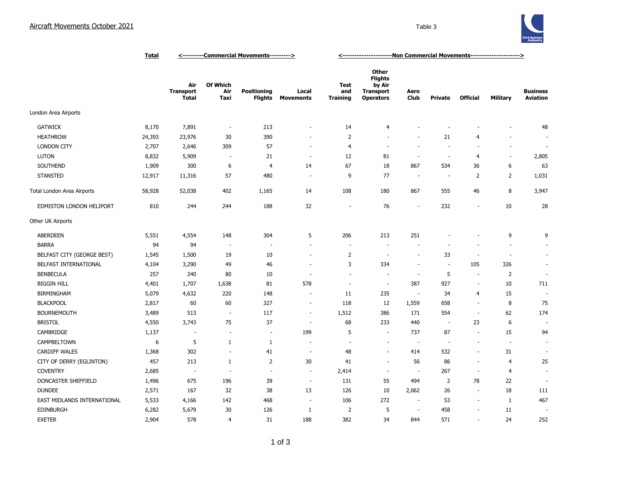

|                             | <b>Total</b> | <---------Commercial Movements---------> |                          |                               |                           | <-----------------------Non Commercial Movements---------------------> |                                                                                  |                          |                          |                          |                          |                                    |
|-----------------------------|--------------|------------------------------------------|--------------------------|-------------------------------|---------------------------|------------------------------------------------------------------------|----------------------------------------------------------------------------------|--------------------------|--------------------------|--------------------------|--------------------------|------------------------------------|
|                             |              | Air<br><b>Transport</b><br><b>Total</b>  | Of Which<br>Air<br>Taxi  | <b>Positioning</b><br>Flights | Local<br><b>Movements</b> | Test<br>and<br><b>Training</b>                                         | <b>Other</b><br><b>Flights</b><br>by Air<br><b>Transport</b><br><b>Operators</b> | Aero<br><b>Club</b>      | Private                  | <b>Official</b>          | <b>Military</b>          | <b>Business</b><br><b>Aviation</b> |
| London Area Airports        |              |                                          |                          |                               |                           |                                                                        |                                                                                  |                          |                          |                          |                          |                                    |
| <b>GATWICK</b>              | 8,170        | 7,891                                    | $\sim$                   | 213                           | $\sim$                    | 14                                                                     | 4                                                                                |                          |                          |                          |                          | 48                                 |
| <b>HEATHROW</b>             | 24,393       | 23,976                                   | 30                       | 390                           | $\overline{\phantom{a}}$  | $\overline{2}$                                                         | $\sim$                                                                           | ٠                        | 21                       | $\overline{4}$           |                          | $\overline{\phantom{a}}$           |
| <b>LONDON CITY</b>          | 2,707        | 2,646                                    | 309                      | 57                            | $\overline{\phantom{a}}$  | $\overline{4}$                                                         | $\sim$                                                                           | $\overline{a}$           | $\overline{\phantom{a}}$ | $\overline{\phantom{a}}$ | $\overline{\phantom{a}}$ | $\sim$                             |
| <b>LUTON</b>                | 8,832        | 5,909                                    | $\sim$                   | 21                            | $\sim$                    | 12                                                                     | 81                                                                               | $\sim$                   | $\overline{\phantom{a}}$ | $\overline{4}$           | $\sim$                   | 2,805                              |
| SOUTHEND                    | 1,909        | 300                                      | 6                        | $\overline{4}$                | 14                        | 67                                                                     | 18                                                                               | 867                      | 534                      | 36                       | 6                        | 63                                 |
| <b>STANSTED</b>             | 12,917       | 11,316                                   | 57                       | 480                           | $\overline{\phantom{a}}$  | 9                                                                      | 77                                                                               | <b>.</b>                 |                          | 2                        | $\overline{2}$           | 1,031                              |
| Total London Area Airports  | 58,928       | 52,038                                   | 402                      | 1,165                         | 14                        | 108                                                                    | 180                                                                              | 867                      | 555                      | 46                       | 8                        | 3,947                              |
| EDMISTON LONDON HELIPORT    | 810          | 244                                      | 244                      | 188                           | 32                        | ÷                                                                      | 76                                                                               | $\overline{\phantom{a}}$ | 232                      | $\overline{\phantom{a}}$ | 10                       | 28                                 |
| Other UK Airports           |              |                                          |                          |                               |                           |                                                                        |                                                                                  |                          |                          |                          |                          |                                    |
| <b>ABERDEEN</b>             | 5,551        | 4,554                                    | 148                      | 304                           | 5                         | 206                                                                    | 213                                                                              | 251                      |                          |                          | 9                        | 9                                  |
| <b>BARRA</b>                | 94           | 94                                       | $\overline{\phantom{a}}$ | $\overline{\phantom{a}}$      | $\sim$                    | J.                                                                     | ÷.                                                                               |                          |                          |                          | $\overline{a}$           | $\sim$                             |
| BELFAST CITY (GEORGE BEST)  | 1,545        | 1,500                                    | 19                       | 10                            | $\overline{\phantom{a}}$  | $\overline{2}$                                                         | $\overline{\phantom{a}}$                                                         | ÷,                       | 33                       | ÷,                       | $\sim$                   | $\sim$                             |
| BELFAST INTERNATIONAL       | 4,104        | 3,290                                    | 49                       | 46                            | ٠                         | 3                                                                      | 334                                                                              | ÷                        | $\overline{\phantom{a}}$ | 105                      | 326                      | $\sim$                             |
| <b>BENBECULA</b>            | 257          | 240                                      | 80                       | 10                            | $\overline{\phantom{a}}$  | $\overline{\phantom{a}}$                                               | $\sim$                                                                           | $\overline{\phantom{a}}$ | 5                        | $\sim$                   | $\overline{2}$           | $\blacksquare$                     |
| <b>BIGGIN HILL</b>          | 4,401        | 1,707                                    | 1,638                    | 81                            | 578                       | ÷,                                                                     | $\overline{\phantom{a}}$                                                         | 387                      | 927                      | $\overline{\phantom{a}}$ | 10                       | 711                                |
| <b>BIRMINGHAM</b>           | 5,079        | 4,632                                    | 220                      | 148                           | $\overline{a}$            | 11                                                                     | 235                                                                              | $\overline{\phantom{a}}$ | 34                       | 4                        | 15                       |                                    |
| <b>BLACKPOOL</b>            | 2,817        | 60                                       | 60                       | 327                           | $\overline{\phantom{a}}$  | 118                                                                    | 12                                                                               | 1,559                    | 658                      | $\sim$                   | 8                        | 75                                 |
| <b>BOURNEMOUTH</b>          | 3,489        | 513                                      | $\overline{\phantom{a}}$ | 117                           | $\overline{\phantom{a}}$  | 1,512                                                                  | 386                                                                              | 171                      | 554                      | ÷.                       | 62                       | 174                                |
| <b>BRISTOL</b>              | 4,550        | 3,743                                    | 75                       | 37                            | ÷,                        | 68                                                                     | 233                                                                              | 440                      |                          | 23                       | 6                        |                                    |
| CAMBRIDGE                   | 1,137        | ÷                                        | $\sim$                   | $\sim$                        | 199                       | 5                                                                      | $\sim$                                                                           | 737                      | 87                       | $\overline{\phantom{a}}$ | 15                       | 94                                 |
| CAMPBELTOWN                 | 6            | 5                                        | $\mathbf{1}$             | 1                             | ÷.                        | ÷                                                                      | ÷.                                                                               | ÷.                       | $\sim$                   | ÷.                       | $\sim$                   | $\sim$                             |
| <b>CARDIFF WALES</b>        | 1,368        | 302                                      | $\sim$                   | 41                            | $\sim$                    | 48                                                                     | $\sim$                                                                           | 414                      | 532                      | $\overline{\phantom{a}}$ | 31                       | $\overline{\phantom{a}}$           |
| CITY OF DERRY (EGLINTON)    | 457          | 213                                      | $\mathbf{1}$             | $\overline{2}$                | 30                        | 41                                                                     | $\sim$                                                                           | 56                       | 86                       | $\sim$                   | $\overline{4}$           | 25                                 |
| <b>COVENTRY</b>             | 2,685        | $\overline{\phantom{a}}$                 | $\sim$                   | $\overline{\phantom{a}}$      | $\overline{\phantom{a}}$  | 2,414                                                                  | $\overline{\phantom{a}}$                                                         | ÷.                       | 267                      | $\overline{\phantom{a}}$ | $\overline{4}$           | $\sim$                             |
| DONCASTER SHEFFIELD         | 1,496        | 675                                      | 196                      | 39                            | $\overline{\phantom{a}}$  | 131                                                                    | 55                                                                               | 494                      | $\overline{2}$           | 78                       | 22                       |                                    |
| <b>DUNDEE</b>               | 2,571        | 167                                      | 32                       | 38                            | 13                        | 126                                                                    | 10                                                                               | 2,062                    | 26                       | $\overline{\phantom{a}}$ | 18                       | 111                                |
| EAST MIDLANDS INTERNATIONAL | 5,533        | 4,166                                    | 142                      | 468                           | $\overline{\phantom{a}}$  | 106                                                                    | 272                                                                              | $\sim$                   | 53                       | $\sim$                   | $\mathbf{1}$             | 467                                |
| <b>EDINBURGH</b>            | 6,282        | 5,679                                    | 30                       | 126                           | $\mathbf{1}$              | $\overline{2}$                                                         | 5                                                                                | ÷.                       | 458                      | $\overline{\phantom{a}}$ | 11                       |                                    |
| <b>EXETER</b>               | 2,904        | 578                                      | 4                        | 31                            | 188                       | 382                                                                    | 34                                                                               | 844                      | 571                      | ÷.                       | 24                       | 252                                |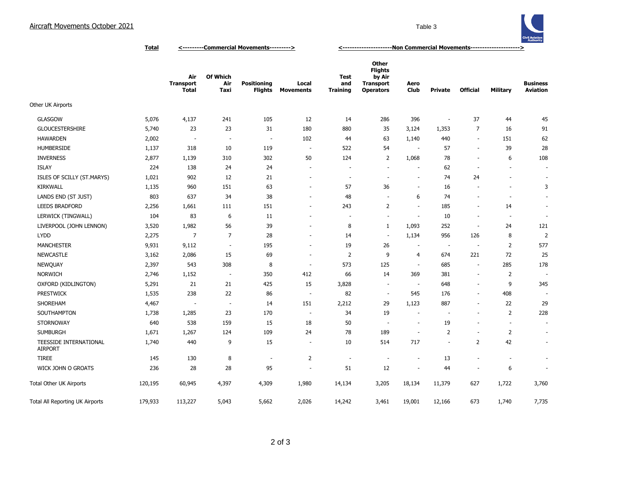

**Total <---------Commercial Movements---------> <---------------------Non Commercial Movements--------------------->**

|                                          |         | Air<br><b>Transport</b><br><b>Total</b> | Of Which<br>Air<br>Taxi  | <b>Positioning</b><br><b>Flights</b> | Local<br><b>Movements</b> | <b>Test</b><br>and<br><b>Training</b> | Other<br><b>Flights</b><br>by Air<br><b>Transport</b><br><b>Operators</b> | Aero<br><b>Club</b>      | <b>Private</b>           | <b>Official</b>          | Military                 | <b>Business</b><br><b>Aviation</b> |
|------------------------------------------|---------|-----------------------------------------|--------------------------|--------------------------------------|---------------------------|---------------------------------------|---------------------------------------------------------------------------|--------------------------|--------------------------|--------------------------|--------------------------|------------------------------------|
| Other UK Airports                        |         |                                         |                          |                                      |                           |                                       |                                                                           |                          |                          |                          |                          |                                    |
| GLASGOW                                  | 5,076   | 4,137                                   | 241                      | 105                                  | 12                        | 14                                    | 286                                                                       | 396                      | $\overline{\phantom{a}}$ | 37                       | 44                       | 45                                 |
| <b>GLOUCESTERSHIRE</b>                   | 5,740   | 23                                      | 23                       | 31                                   | 180                       | 880                                   | 35                                                                        | 3,124                    | 1,353                    | 7                        | 16                       | 91                                 |
| <b>HAWARDEN</b>                          | 2,002   | $\overline{a}$                          | $\overline{\phantom{a}}$ | $\overline{a}$                       | 102                       | 44                                    | 63                                                                        | 1,140                    | 440                      | $\overline{\phantom{a}}$ | 151                      | 62                                 |
| <b>HUMBERSIDE</b>                        | 1,137   | 318                                     | 10                       | 119                                  | $\overline{\phantom{a}}$  | 522                                   | 54                                                                        | $\overline{\phantom{a}}$ | 57                       | $\overline{\phantom{a}}$ | 39                       | 28                                 |
| <b>INVERNESS</b>                         | 2,877   | 1,139                                   | 310                      | 302                                  | 50                        | 124                                   | $\overline{2}$                                                            | 1,068                    | 78                       | $\overline{\phantom{a}}$ | 6                        | 108                                |
| <b>ISLAY</b>                             | 224     | 138                                     | 24                       | 24                                   | $\overline{\phantom{a}}$  | $\sim$                                | ÷.                                                                        | $\sim$                   | 62                       | $\sim$                   | ÷.                       | $\sim$                             |
| ISLES OF SCILLY (ST.MARYS)               | 1,021   | 902                                     | 12                       | 21                                   | $\overline{\phantom{a}}$  | $\overline{\phantom{a}}$              | ÷.                                                                        | $\overline{\phantom{a}}$ | 74                       | 24                       | $\sim$                   | $\overline{\phantom{a}}$           |
| <b>KIRKWALL</b>                          | 1,135   | 960                                     | 151                      | 63                                   | $\sim$                    | 57                                    | 36                                                                        | $\sim$                   | 16                       | $\overline{\phantom{a}}$ | $\overline{\phantom{a}}$ | 3                                  |
| LANDS END (ST JUST)                      | 803     | 637                                     | 34                       | 38                                   | $\sim$                    | 48                                    | ٠.                                                                        | 6                        | 74                       |                          | ä,                       |                                    |
| <b>LEEDS BRADFORD</b>                    | 2,256   | 1,661                                   | 111                      | 151                                  | $\sim$                    | 243                                   | $\overline{2}$                                                            | ÷.                       | 185                      | $\overline{\phantom{a}}$ | 14                       | $\overline{\phantom{a}}$           |
| LERWICK (TINGWALL)                       | 104     | 83                                      | 6                        | 11                                   |                           |                                       | ÷,                                                                        | $\overline{\phantom{a}}$ | 10                       | $\overline{\phantom{a}}$ | $\overline{\phantom{a}}$ | $\overline{\phantom{a}}$           |
| LIVERPOOL (JOHN LENNON)                  | 3,520   | 1,982                                   | 56                       | 39                                   | $\overline{\phantom{a}}$  | 8                                     | 1                                                                         | 1,093                    | 252                      | $\sim$                   | 24                       | 121                                |
| <b>LYDD</b>                              | 2,275   | $\overline{7}$                          | $\overline{7}$           | 28                                   |                           | 14                                    | $\sim$                                                                    | 1,134                    | 956                      | 126                      | 8                        | $\overline{2}$                     |
| <b>MANCHESTER</b>                        | 9,931   | 9,112                                   | $\sim$                   | 195                                  | $\overline{\phantom{a}}$  | 19                                    | 26                                                                        |                          | $\overline{\phantom{a}}$ | $\overline{\phantom{a}}$ | $\overline{2}$           | 577                                |
| <b>NEWCASTLE</b>                         | 3,162   | 2,086                                   | 15                       | 69                                   | $\overline{\phantom{a}}$  | $\overline{2}$                        | 9                                                                         | 4                        | 674                      | 221                      | 72                       | 25                                 |
| <b>NEWQUAY</b>                           | 2,397   | 543                                     | 308                      | 8                                    | $\overline{\phantom{a}}$  | 573                                   | 125                                                                       | $\sim$                   | 685                      | $\overline{\phantom{a}}$ | 285                      | 178                                |
| <b>NORWICH</b>                           | 2,746   | 1,152                                   | $\sim$                   | 350                                  | 412                       | 66                                    | 14                                                                        | 369                      | 381                      | $\sim$                   | $\overline{2}$           |                                    |
| OXFORD (KIDLINGTON)                      | 5,291   | 21                                      | 21                       | 425                                  | 15                        | 3,828                                 | $\overline{\phantom{a}}$                                                  |                          | 648                      | $\overline{\phantom{a}}$ | 9                        | 345                                |
| <b>PRESTWICK</b>                         | 1,535   | 238                                     | 22                       | 86                                   | $\overline{\phantom{a}}$  | 82                                    | $\sim$                                                                    | 545                      | 176                      | $\overline{\phantom{a}}$ | 408                      |                                    |
| SHOREHAM                                 | 4,467   |                                         | $\overline{\phantom{a}}$ | 14                                   | 151                       | 2,212                                 | 29                                                                        | 1,123                    | 887                      | $\overline{\phantom{a}}$ | 22                       | 29                                 |
| SOUTHAMPTON                              | 1,738   | 1,285                                   | 23                       | 170                                  | $\sim$                    | 34                                    | 19                                                                        | $\overline{\phantom{a}}$ | $\overline{\phantom{a}}$ | $\sim$                   | $\overline{2}$           | 228                                |
| <b>STORNOWAY</b>                         | 640     | 538                                     | 159                      | 15                                   | 18                        | 50                                    | $\overline{\phantom{a}}$                                                  | $\sim$                   | 19                       |                          | ÷.                       | $\overline{\phantom{a}}$           |
| <b>SUMBURGH</b>                          | 1,671   | 1,267                                   | 124                      | 109                                  | 24                        | 78                                    | 189                                                                       | $\sim$                   | $\overline{2}$           | $\overline{\phantom{a}}$ | $\overline{2}$           | $\overline{\phantom{a}}$           |
| TEESSIDE INTERNATIONAL<br><b>AIRPORT</b> | 1,740   | 440                                     | 9                        | 15                                   | $\overline{\phantom{a}}$  | 10                                    | 514                                                                       | 717                      | $\sim$                   | $\overline{2}$           | 42                       | $\overline{\phantom{a}}$           |
| <b>TIREE</b>                             | 145     | 130                                     | 8                        | $\overline{a}$                       | $\overline{2}$            | ٠                                     | $\overline{\phantom{a}}$                                                  | $\overline{\phantom{a}}$ | 13                       |                          |                          | $\overline{\phantom{a}}$           |
| WICK JOHN O GROATS                       | 236     | 28                                      | 28                       | 95                                   | $\overline{\phantom{a}}$  | 51                                    | 12                                                                        | $\overline{\phantom{a}}$ | 44                       |                          | 6                        | $\sim$                             |
| Total Other UK Airports                  | 120,195 | 60,945                                  | 4,397                    | 4,309                                | 1,980                     | 14,134                                | 3,205                                                                     | 18,134                   | 11,379                   | 627                      | 1,722                    | 3,760                              |
| Total All Reporting UK Airports          | 179,933 | 113,227                                 | 5,043                    | 5,662                                | 2,026                     | 14,242                                | 3,461                                                                     | 19,001                   | 12,166                   | 673                      | 1,740                    | 7,735                              |